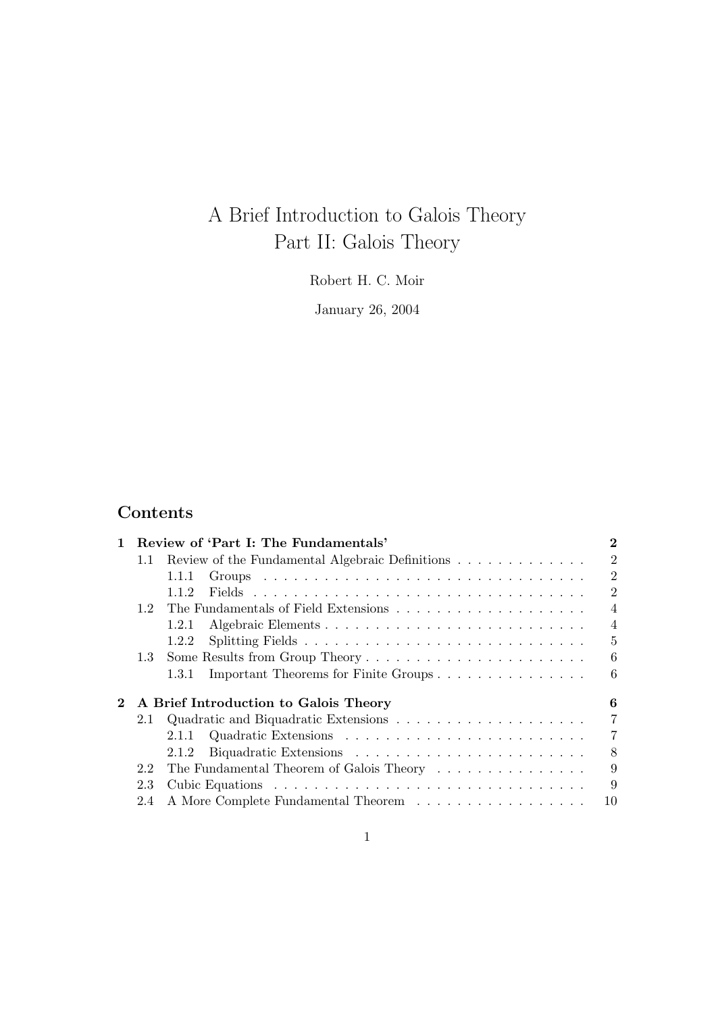# A Brief Introduction to Galois Theory Part II: Galois Theory

Robert H. C. Moir

January 26, 2004

# Contents

| $\mathbf{1}$ |     | Review of 'Part I: The Fundamentals'            | $\bf{2}$       |
|--------------|-----|-------------------------------------------------|----------------|
|              | 1.1 | Review of the Fundamental Algebraic Definitions | $\overline{2}$ |
|              |     | 1.1.1                                           | $\overline{2}$ |
|              |     | 1.1.2                                           | $\overline{2}$ |
|              | 12  |                                                 | $\overline{4}$ |
|              |     | 1.2.1                                           | $\overline{4}$ |
|              |     | 1.2.2                                           | $\overline{5}$ |
|              | 1.3 |                                                 | 6              |
|              |     | Important Theorems for Finite Groups<br>1.3.1   | 6              |
|              |     | A Brief Introduction to Galois Theory           | 6              |
|              | 2.1 |                                                 | $\overline{7}$ |
|              |     | 2.1.1                                           | $\overline{7}$ |
|              |     | 2.1.2                                           | 8              |
|              | 2.2 | The Fundamental Theorem of Galois Theory        | 9              |
|              | 2.3 |                                                 | 9              |
|              | 2.4 | A More Complete Fundamental Theorem             | 10             |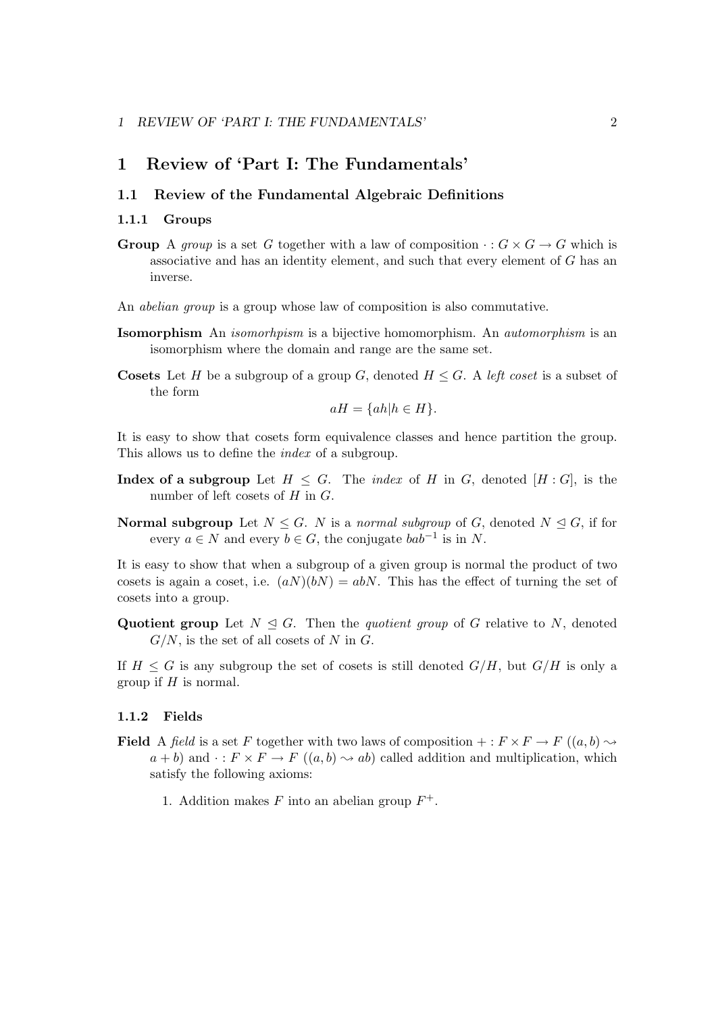### 1 Review of 'Part I: The Fundamentals'

### 1.1 Review of the Fundamental Algebraic Definitions

### 1.1.1 Groups

- **Group** A group is a set G together with a law of composition  $\cdot : G \times G \to G$  which is associative and has an identity element, and such that every element of G has an inverse.
- An *abelian group* is a group whose law of composition is also commutative.
- **Isomorphism** An *isomorhpism* is a bijective homomorphism. An *automorphism* is an isomorphism where the domain and range are the same set.
- **Cosets** Let H be a subgroup of a group G, denoted  $H \leq G$ . A left coset is a subset of the form

$$
aH = \{ah|h \in H\}.
$$

It is easy to show that cosets form equivalence classes and hence partition the group. This allows us to define the index of a subgroup.

- **Index of a subgroup** Let  $H \leq G$ . The *index* of H in G, denoted  $[H:G]$ , is the number of left cosets of  $H$  in  $G$ .
- **Normal subgroup** Let  $N \leq G$ . N is a normal subgroup of G, denoted  $N \leq G$ , if for every  $a \in N$  and every  $b \in G$ , the conjugate  $bab^{-1}$  is in N.

It is easy to show that when a subgroup of a given group is normal the product of two cosets is again a coset, i.e.  $(aN)(bN) = abN$ . This has the effect of turning the set of cosets into a group.

Quotient group Let  $N \triangleleft G$ . Then the *quotient group* of G relative to N, denoted  $G/N$ , is the set of all cosets of N in G.

If  $H \leq G$  is any subgroup the set of cosets is still denoted  $G/H$ , but  $G/H$  is only a group if  $H$  is normal.

### 1.1.2 Fields

- **Field** A field is a set F together with two laws of composition  $+: F \times F \to F$  ( $(a, b) \rightsquigarrow$  $a + b$ ) and  $\cdot : F \times F \to F$   $((a, b) \rightsquigarrow ab)$  called addition and multiplication, which satisfy the following axioms:
	- 1. Addition makes F into an abelian group  $F^+$ .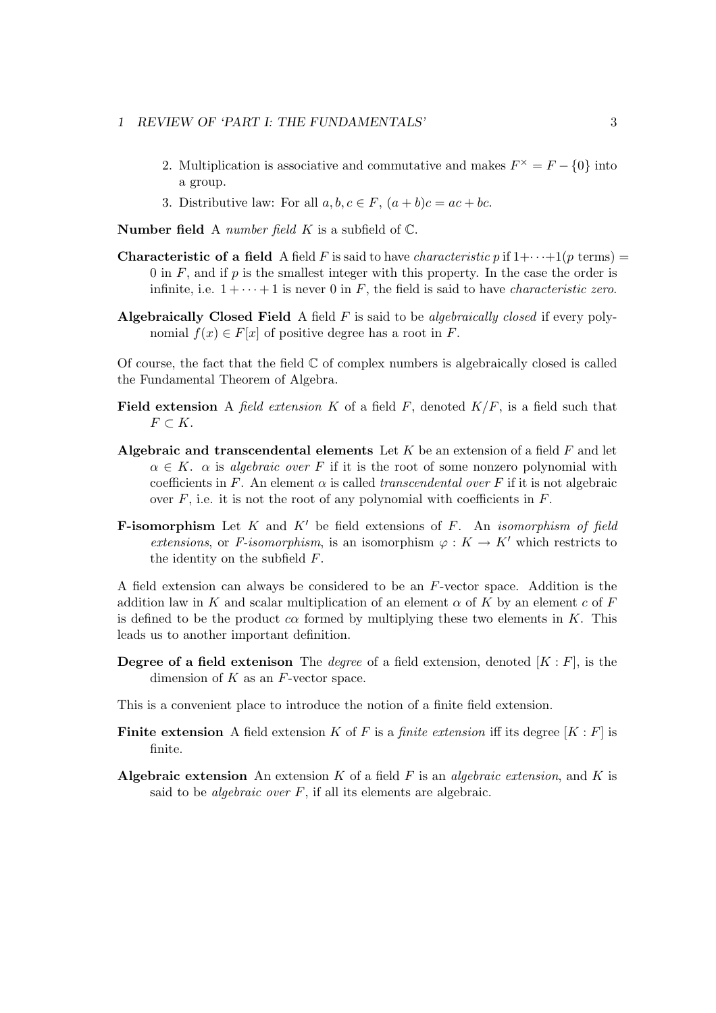### 1 REVIEW OF 'PART I: THE FUNDAMENTALS' 3

- 2. Multiplication is associative and commutative and makes  $F^{\times} = F \{0\}$  into a group.
- 3. Distributive law: For all  $a, b, c \in F$ ,  $(a + b)c = ac + bc$ .

**Number field** A *number field*  $K$  is a subfield of  $\mathbb{C}$ .

- **Characteristic of a field** A field F is said to have *characteristic* p if  $1+\cdots+1(p \text{ terms})=$ 0 in  $F$ , and if  $p$  is the smallest integer with this property. In the case the order is infinite, i.e.  $1 + \cdots + 1$  is never 0 in F, the field is said to have *characteristic zero*.
- Algebraically Closed Field A field  $F$  is said to be *algebraically closed* if every polynomial  $f(x) \in F[x]$  of positive degree has a root in F.

Of course, the fact that the field  $\mathbb C$  of complex numbers is algebraically closed is called the Fundamental Theorem of Algebra.

- Field extension A field extension K of a field  $F$ , denoted  $K/F$ , is a field such that  $F \subset K$ .
- Algebraic and transcendental elements Let  $K$  be an extension of a field  $F$  and let  $\alpha \in K$ .  $\alpha$  is algebraic over F if it is the root of some nonzero polynomial with coefficients in F. An element  $\alpha$  is called *transcendental over* F if it is not algebraic over  $F$ , i.e. it is not the root of any polynomial with coefficients in  $F$ .
- **F-isomorphism** Let K and K' be field extensions of F. An *isomorphism of field* extensions, or F-isomorphism, is an isomorphism  $\varphi: K \to K'$  which restricts to the identity on the subfield  $F$ .

A field extension can always be considered to be an F-vector space. Addition is the addition law in K and scalar multiplication of an element  $\alpha$  of K by an element c of F is defined to be the product  $c\alpha$  formed by multiplying these two elements in K. This leads us to another important definition.

**Degree of a field extenison** The *degree* of a field extension, denoted  $[K : F]$ , is the dimension of  $K$  as an  $F$ -vector space.

This is a convenient place to introduce the notion of a finite field extension.

- **Finite extension** A field extension K of F is a finite extension iff its degree  $[K : F]$  is finite.
- **Algebraic extension** An extension K of a field F is an *algebraic extension*, and K is said to be *algebraic over*  $F$ , if all its elements are algebraic.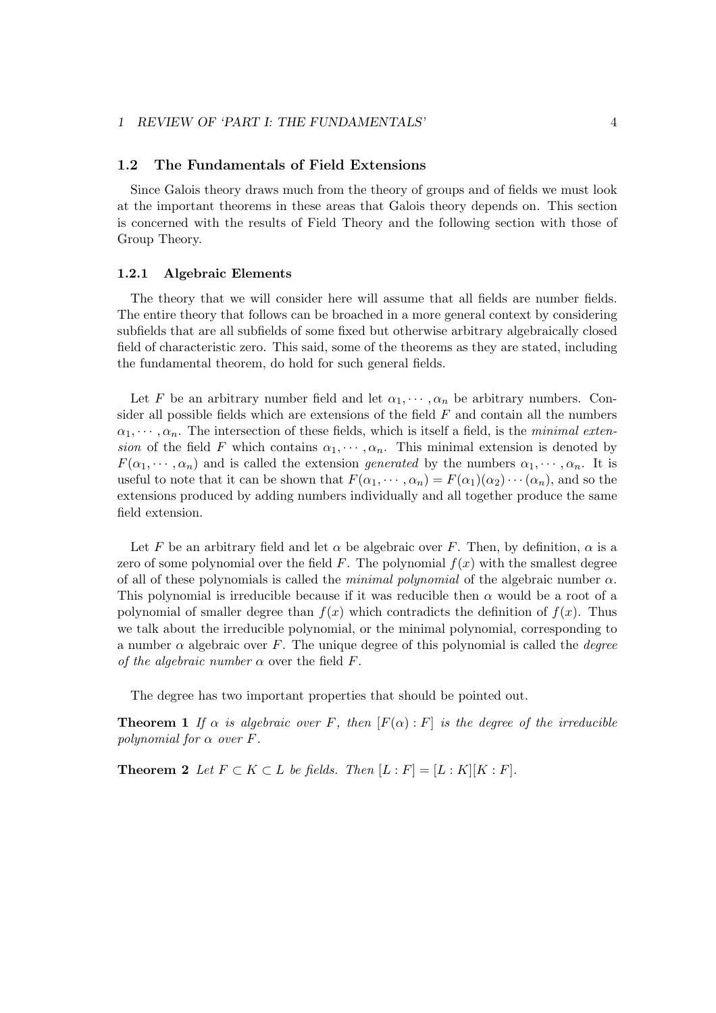#### 1 REVIEW OF 'PART I: THE FUNDAMENTALS' 4

### 1.2 The Fundamentals of Field Extensions

Since Galois theory draws much from the theory of groups and of fields we must look at the important theorems in these areas that Galois theory depends on. This section is concerned with the results of Field Theory and the following section with those of Group Theory.

### 1.2.1 Algebraic Elements

The theory that we will consider here will assume that all fields are number fields. The entire theory that follows can be broached in a more general context by considering subfields that are all subfields of some fixed but otherwise arbitrary algebraically closed field of characteristic zero. This said, some of the theorems as they are stated, including the fundamental theorem, do hold for such general fields.

Let F be an arbitrary number field and let  $\alpha_1, \dots, \alpha_n$  be arbitrary numbers. Consider all possible fields which are extensions of the field  $F$  and contain all the numbers  $\alpha_1, \dots, \alpha_n$ . The intersection of these fields, which is itself a field, is the *minimal exten*sion of the field F which contains  $\alpha_1, \dots, \alpha_n$ . This minimal extension is denoted by  $F(\alpha_1, \dots, \alpha_n)$  and is called the extension *generated* by the numbers  $\alpha_1, \dots, \alpha_n$ . It is useful to note that it can be shown that  $F(\alpha_1, \dots, \alpha_n) = F(\alpha_1)(\alpha_2) \cdots (\alpha_n)$ , and so the extensions produced by adding numbers individually and all together produce the same field extension.

Let F be an arbitrary field and let  $\alpha$  be algebraic over F. Then, by definition,  $\alpha$  is a zero of some polynomial over the field F. The polynomial  $f(x)$  with the smallest degree of all of these polynomials is called the minimal polynomial of the algebraic number  $\alpha$ . This polynomial is irreducible because if it was reducible then  $\alpha$  would be a root of a polynomial of smaller degree than  $f(x)$  which contradicts the definition of  $f(x)$ . Thus we talk about the irreducible polynomial, or the minimal polynomial, corresponding to a number  $\alpha$  algebraic over F. The unique degree of this polynomial is called the *degree* of the algebraic number  $\alpha$  over the field F.

The degree has two important properties that should be pointed out.

**Theorem 1** If  $\alpha$  is algebraic over F, then  $[F(\alpha):F]$  is the degree of the irreducible polynomial for  $\alpha$  over F.

**Theorem 2** Let  $F \subset K \subset L$  be fields. Then  $[L : F] = [L : K][K : F]$ .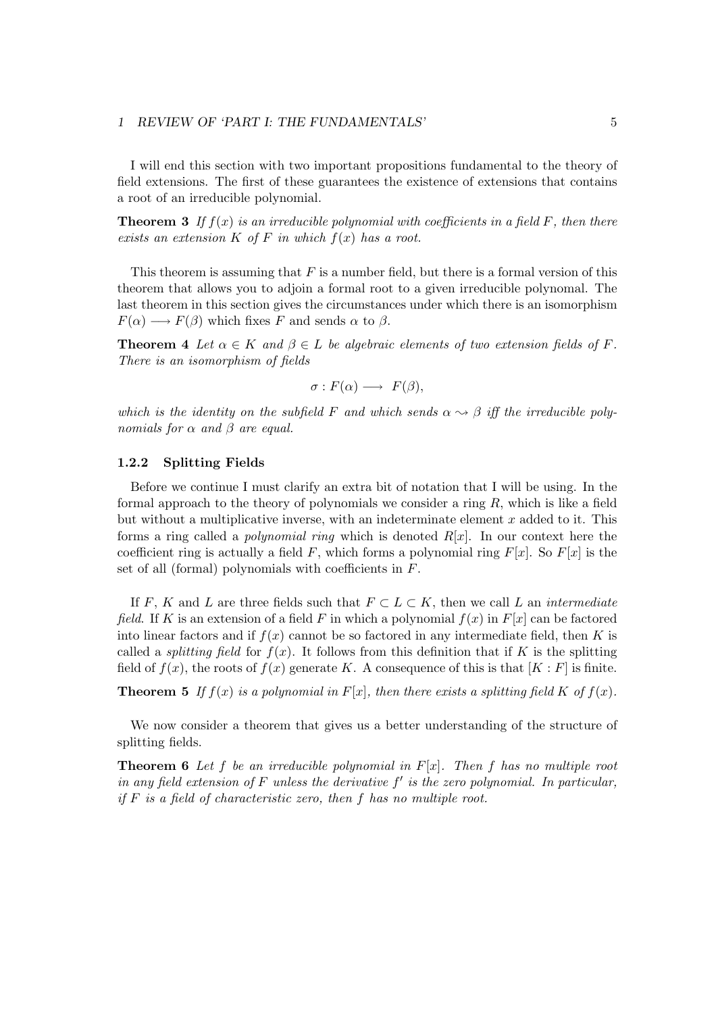I will end this section with two important propositions fundamental to the theory of field extensions. The first of these guarantees the existence of extensions that contains a root of an irreducible polynomial.

**Theorem 3** If  $f(x)$  is an irreducible polynomial with coefficients in a field F, then there exists an extension  $K$  of  $F$  in which  $f(x)$  has a root.

This theorem is assuming that  $F$  is a number field, but there is a formal version of this theorem that allows you to adjoin a formal root to a given irreducible polynomal. The last theorem in this section gives the circumstances under which there is an isomorphism  $F(\alpha) \longrightarrow F(\beta)$  which fixes F and sends  $\alpha$  to  $\beta$ .

**Theorem 4** Let  $\alpha \in K$  and  $\beta \in L$  be algebraic elements of two extension fields of F. There is an isomorphism of fields

$$
\sigma: F(\alpha) \longrightarrow F(\beta),
$$

which is the identity on the subfield F and which sends  $\alpha \rightsquigarrow \beta$  iff the irreducible polynomials for  $\alpha$  and  $\beta$  are equal.

#### 1.2.2 Splitting Fields

Before we continue I must clarify an extra bit of notation that I will be using. In the formal approach to the theory of polynomials we consider a ring  $R$ , which is like a field but without a multiplicative inverse, with an indeterminate element  $x$  added to it. This forms a ring called a *polynomial ring* which is denoted  $R[x]$ . In our context here the coefficient ring is actually a field F, which forms a polynomial ring  $F[x]$ . So  $F[x]$  is the set of all (formal) polynomials with coefficients in  $F$ .

If F, K and L are three fields such that  $F \subset L \subset K$ , then we call L an *intermediate* field. If K is an extension of a field F in which a polynomial  $f(x)$  in  $F[x]$  can be factored into linear factors and if  $f(x)$  cannot be so factored in any intermediate field, then K is called a *splitting field* for  $f(x)$ . It follows from this definition that if K is the splitting field of  $f(x)$ , the roots of  $f(x)$  generate K. A consequence of this is that  $[K: F]$  is finite.

**Theorem 5** If  $f(x)$  is a polynomial in  $F[x]$ , then there exists a splitting field K of  $f(x)$ .

We now consider a theorem that gives us a better understanding of the structure of splitting fields.

**Theorem 6** Let f be an irreducible polynomial in  $F[x]$ . Then f has no multiple root in any field extension of  $F$  unless the derivative  $f'$  is the zero polynomial. In particular, if  $F$  is a field of characteristic zero, then  $f$  has no multiple root.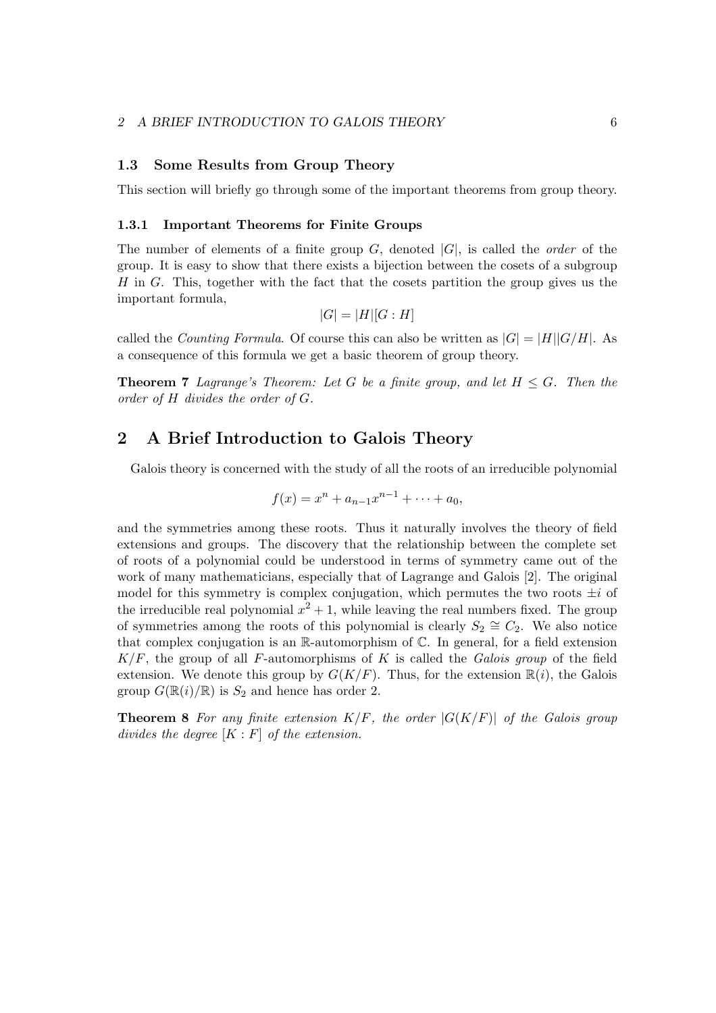### 1.3 Some Results from Group Theory

This section will briefly go through some of the important theorems from group theory.

#### 1.3.1 Important Theorems for Finite Groups

The number of elements of a finite group  $G$ , denoted  $|G|$ , is called the *order* of the group. It is easy to show that there exists a bijection between the cosets of a subgroup  $H$  in  $G$ . This, together with the fact that the cosets partition the group gives us the important formula,

$$
|G| = |H|[G:H]
$$

called the *Counting Formula*. Of course this can also be written as  $|G| = |H||G/H|$ . As a consequence of this formula we get a basic theorem of group theory.

**Theorem 7** Lagrange's Theorem: Let G be a finite group, and let  $H \leq G$ . Then the order of H divides the order of G.

### 2 A Brief Introduction to Galois Theory

Galois theory is concerned with the study of all the roots of an irreducible polynomial

$$
f(x) = x^n + a_{n-1}x^{n-1} + \dots + a_0,
$$

and the symmetries among these roots. Thus it naturally involves the theory of field extensions and groups. The discovery that the relationship between the complete set of roots of a polynomial could be understood in terms of symmetry came out of the work of many mathematicians, especially that of Lagrange and Galois [2]. The original model for this symmetry is complex conjugation, which permutes the two roots  $\pm i$  of the irreducible real polynomial  $x^2 + 1$ , while leaving the real numbers fixed. The group of symmetries among the roots of this polynomial is clearly  $S_2 \cong C_2$ . We also notice that complex conjugation is an  $\mathbb{R}$ -automorphism of  $\mathbb{C}$ . In general, for a field extension  $K/F$ , the group of all F-automorphisms of K is called the Galois group of the field extension. We denote this group by  $G(K/F)$ . Thus, for the extension  $\mathbb{R}(i)$ , the Galois group  $G(\mathbb{R}(i)/\mathbb{R})$  is  $S_2$  and hence has order 2.

**Theorem 8** For any finite extension  $K/F$ , the order  $|G(K/F)|$  of the Galois group divides the degree  $[K : F]$  of the extension.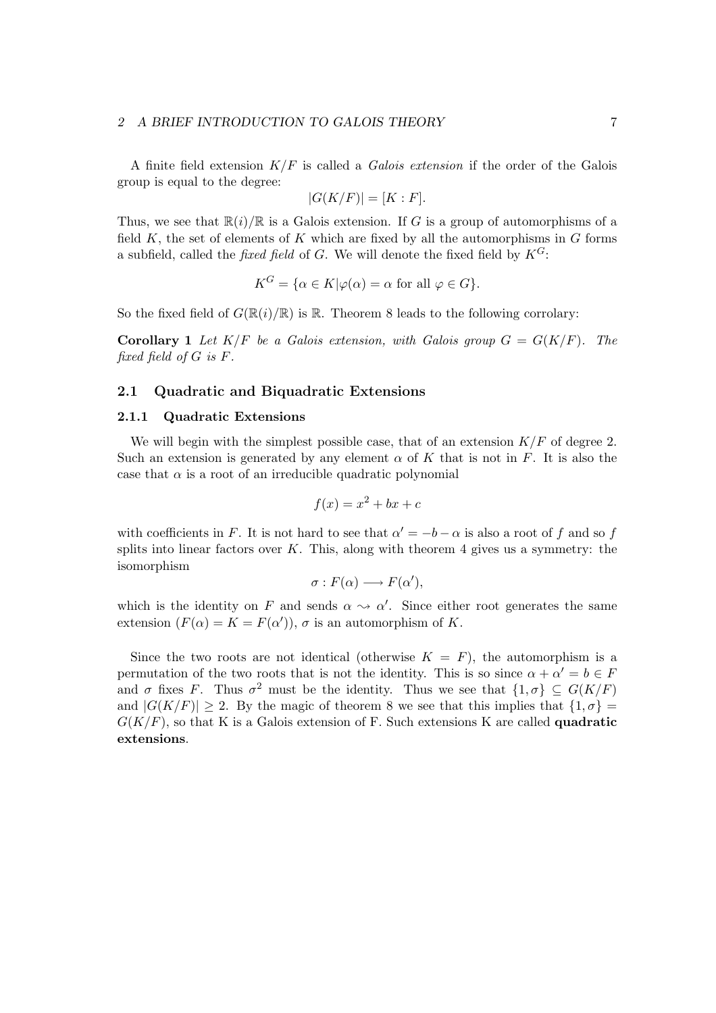### 2 A BRIEF INTRODUCTION TO GALOIS THEORY  $7$

A finite field extension  $K/F$  is called a *Galois extension* if the order of the Galois group is equal to the degree:

$$
|G(K/F)| = [K : F].
$$

Thus, we see that  $\mathbb{R}(i)/\mathbb{R}$  is a Galois extension. If G is a group of automorphisms of a field  $K$ , the set of elements of  $K$  which are fixed by all the automorphisms in  $G$  forms a subfield, called the *fixed field* of G. We will denote the fixed field by  $K^G$ :

$$
K^G = \{ \alpha \in K | \varphi(\alpha) = \alpha \text{ for all } \varphi \in G \}.
$$

So the fixed field of  $G(\mathbb{R}(i)/\mathbb{R})$  is  $\mathbb{R}$ . Theorem 8 leads to the following corrolary:

**Corollary 1** Let  $K/F$  be a Galois extension, with Galois group  $G = G(K/F)$ . The fixed field of G is F.

### 2.1 Quadratic and Biquadratic Extensions

### 2.1.1 Quadratic Extensions

We will begin with the simplest possible case, that of an extension  $K/F$  of degree 2. Such an extension is generated by any element  $\alpha$  of K that is not in F. It is also the case that  $\alpha$  is a root of an irreducible quadratic polynomial

$$
f(x) = x^2 + bx + c
$$

with coefficients in F. It is not hard to see that  $\alpha' = -b - \alpha$  is also a root of f and so f splits into linear factors over  $K$ . This, along with theorem 4 gives us a symmetry: the isomorphism

$$
\sigma: F(\alpha) \longrightarrow F(\alpha'),
$$

which is the identity on F and sends  $\alpha \rightsquigarrow \alpha'$ . Since either root generates the same extension  $(F(\alpha) = K = F(\alpha'))$ ,  $\sigma$  is an automorphism of K.

Since the two roots are not identical (otherwise  $K = F$ ), the automorphism is a permutation of the two roots that is not the identity. This is so since  $\alpha + \alpha' = b \in F$ and  $\sigma$  fixes F. Thus  $\sigma^2$  must be the identity. Thus we see that  $\{1,\sigma\} \subseteq G(K/F)$ and  $|G(K/F)| \geq 2$ . By the magic of theorem 8 we see that this implies that  $\{1, \sigma\} =$  $G(K/F)$ , so that K is a Galois extension of F. Such extensions K are called **quadratic** extensions.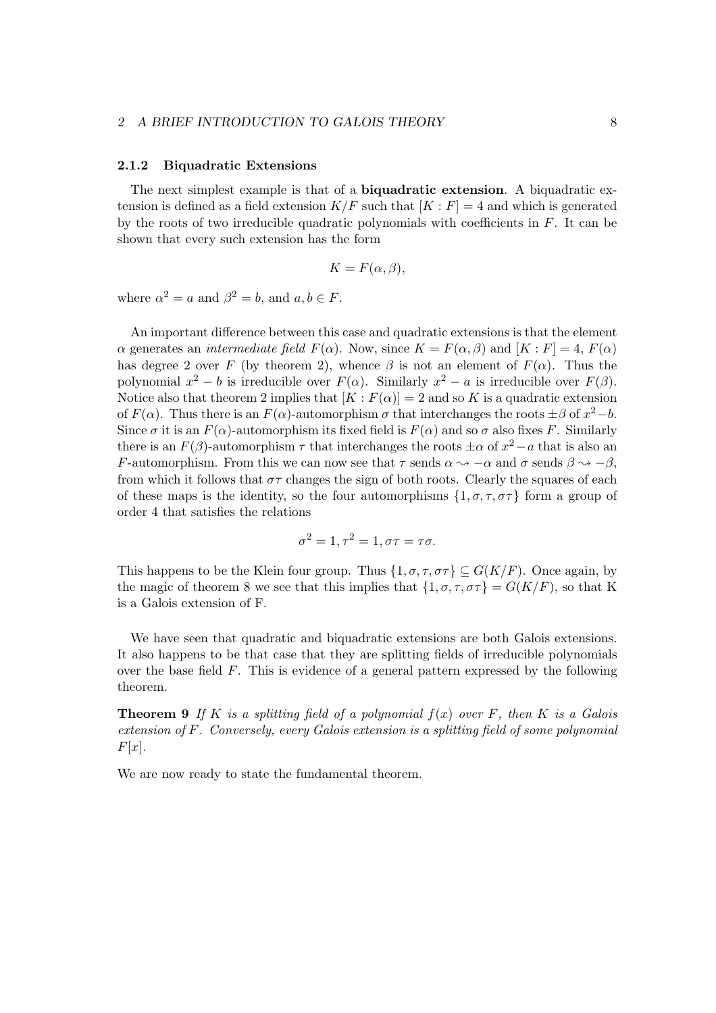### 2 A BRIEF INTRODUCTION TO GALOIS THEORY 8

### 2.1.2 Biquadratic Extensions

The next simplest example is that of a biquadratic extension. A biquadratic extension is defined as a field extension  $K/F$  such that  $[K: F] = 4$  and which is generated by the roots of two irreducible quadratic polynomials with coefficients in  $F$ . It can be shown that every such extension has the form

$$
K = F(\alpha, \beta),
$$

where  $\alpha^2 = a$  and  $\beta^2 = b$ , and  $a, b \in F$ .

An important difference between this case and quadratic extensions is that the element  $\alpha$  generates an *intermediate field*  $F(\alpha)$ . Now, since  $K = F(\alpha, \beta)$  and  $[K : F] = 4$ ,  $F(\alpha)$ has degree 2 over F (by theorem 2), whence  $\beta$  is not an element of  $F(\alpha)$ . Thus the polynomial  $x^2 - b$  is irreducible over  $F(\alpha)$ . Similarly  $x^2 - a$  is irreducible over  $F(\beta)$ . Notice also that theorem 2 implies that  $[K: F(\alpha)] = 2$  and so K is a quadratic extension of  $F(\alpha)$ . Thus there is an  $F(\alpha)$ -automorphism  $\sigma$  that interchanges the roots  $\pm \beta$  of  $x^2 - b$ . Since  $\sigma$  it is an  $F(\alpha)$ -automorphism its fixed field is  $F(\alpha)$  and so  $\sigma$  also fixes F. Similarly there is an  $F(\beta)$ -automorphism  $\tau$  that interchanges the roots  $\pm \alpha$  of  $x^2 - a$  that is also an F-automorphism. From this we can now see that  $\tau$  sends  $\alpha \rightsquigarrow -\alpha$  and  $\sigma$  sends  $\beta \rightsquigarrow -\beta$ , from which it follows that  $\sigma\tau$  changes the sign of both roots. Clearly the squares of each of these maps is the identity, so the four automorphisms  $\{1, \sigma, \tau, \sigma\tau\}$  form a group of order 4 that satisfies the relations

$$
\sigma^2 = 1, \tau^2 = 1, \sigma\tau = \tau\sigma.
$$

This happens to be the Klein four group. Thus  $\{1, \sigma, \tau, \sigma\tau\} \subseteq G(K/F)$ . Once again, by the magic of theorem 8 we see that this implies that  $\{1, \sigma, \tau, \sigma\tau\} = G(K/F)$ , so that K is a Galois extension of F.

We have seen that quadratic and biquadratic extensions are both Galois extensions. It also happens to be that case that they are splitting fields of irreducible polynomials over the base field  $F$ . This is evidence of a general pattern expressed by the following theorem.

**Theorem 9** If K is a splitting field of a polynomial  $f(x)$  over F, then K is a Galois extension of F. Conversely, every Galois extension is a splitting field of some polynomial  $F[x]$ .

We are now ready to state the fundamental theorem.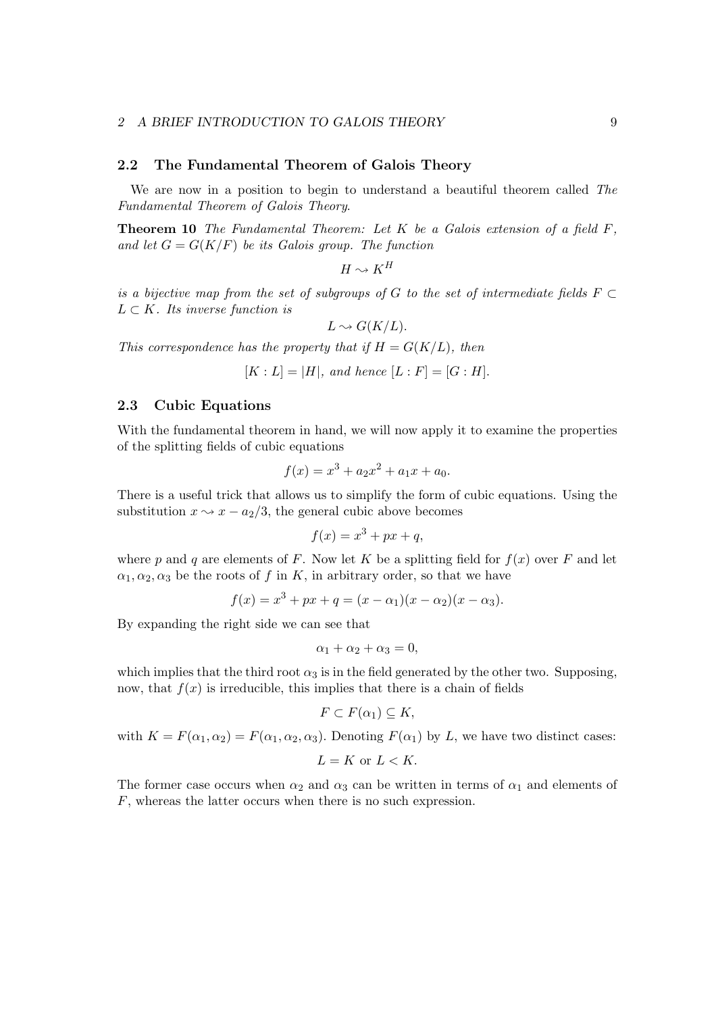### 2.2 The Fundamental Theorem of Galois Theory

We are now in a position to begin to understand a beautiful theorem called The Fundamental Theorem of Galois Theory.

**Theorem 10** The Fundamental Theorem: Let  $K$  be a Galois extension of a field  $F$ , and let  $G = G(K/F)$  be its Galois group. The function

 $H \rightsquigarrow K^H$ 

is a bijective map from the set of subgroups of G to the set of intermediate fields  $F \subset$  $L \subset K$ . Its inverse function is

$$
L \rightsquigarrow G(K/L).
$$

This correspondence has the property that if  $H = G(K/L)$ , then

 $[K : L] = |H|$ , and hence  $[L : F] = [G : H]$ .

### 2.3 Cubic Equations

With the fundamental theorem in hand, we will now apply it to examine the properties of the splitting fields of cubic equations

$$
f(x) = x^3 + a_2 x^2 + a_1 x + a_0.
$$

There is a useful trick that allows us to simplify the form of cubic equations. Using the substitution  $x \sim x - a_2/3$ , the general cubic above becomes

$$
f(x) = x^3 + px + q,
$$

where p and q are elements of F. Now let K be a splitting field for  $f(x)$  over F and let  $\alpha_1, \alpha_2, \alpha_3$  be the roots of f in K, in arbitrary order, so that we have

$$
f(x) = x3 + px + q = (x - \alpha1)(x - \alpha2)(x - \alpha3).
$$

By expanding the right side we can see that

$$
\alpha_1 + \alpha_2 + \alpha_3 = 0,
$$

which implies that the third root  $\alpha_3$  is in the field generated by the other two. Supposing, now, that  $f(x)$  is irreducible, this implies that there is a chain of fields

$$
F \subset F(\alpha_1) \subseteq K,
$$

with  $K = F(\alpha_1, \alpha_2) = F(\alpha_1, \alpha_2, \alpha_3)$ . Denoting  $F(\alpha_1)$  by L, we have two distinct cases:

$$
L = K \text{ or } L < K.
$$

The former case occurs when  $\alpha_2$  and  $\alpha_3$  can be written in terms of  $\alpha_1$  and elements of F, whereas the latter occurs when there is no such expression.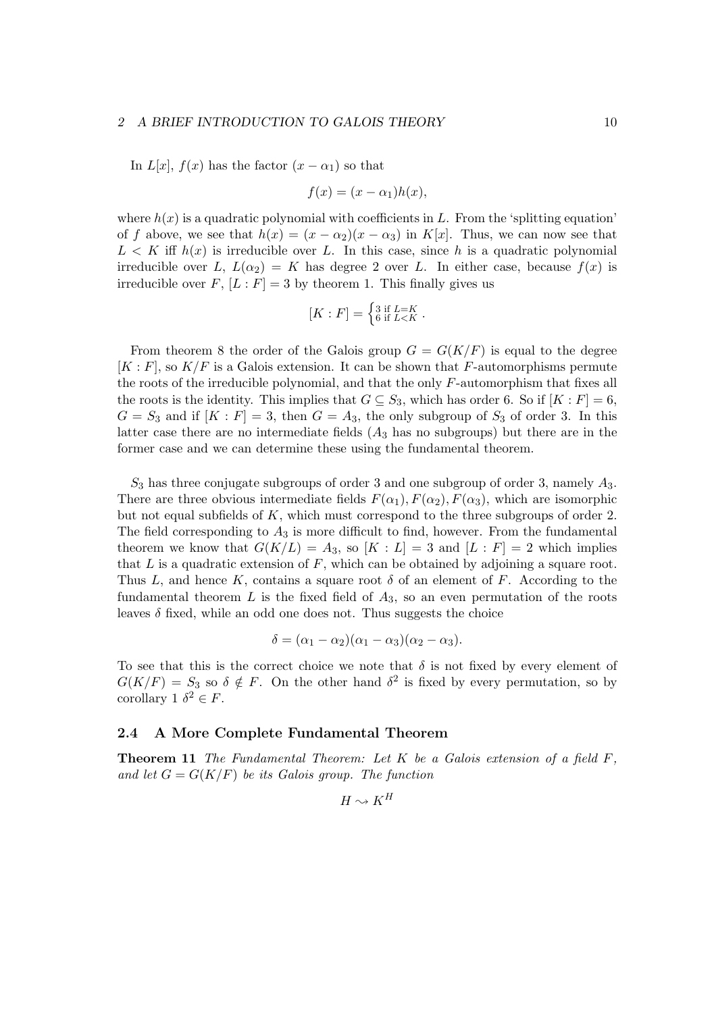#### 2 A BRIEF INTRODUCTION TO GALOIS THEORY 10

In  $L[x]$ ,  $f(x)$  has the factor  $(x - \alpha_1)$  so that

$$
f(x) = (x - \alpha_1)h(x),
$$

where  $h(x)$  is a quadratic polynomial with coefficients in L. From the 'splitting equation' of f above, we see that  $h(x) = (x - \alpha_2)(x - \alpha_3)$  in K[x]. Thus, we can now see that  $L < K$  iff  $h(x)$  is irreducible over L. In this case, since h is a quadratic polynomial irreducible over L,  $L(\alpha_2) = K$  has degree 2 over L. In either case, because  $f(x)$  is irreducible over F,  $[L : F] = 3$  by theorem 1. This finally gives us

$$
[K:F] = \begin{cases} 3 \text{ if } L=K \\ 6 \text{ if } L < K \end{cases}.
$$

From theorem 8 the order of the Galois group  $G = G(K/F)$  is equal to the degree  $[K: F]$ , so  $K/F$  is a Galois extension. It can be shown that F-automorphisms permute the roots of the irreducible polynomial, and that the only  $F$ -automorphism that fixes all the roots is the identity. This implies that  $G \subseteq S_3$ , which has order 6. So if  $[K : F] = 6$ ,  $G = S_3$  and if  $[K : F] = 3$ , then  $G = A_3$ , the only subgroup of  $S_3$  of order 3. In this latter case there are no intermediate fields  $(A_3)$  has no subgroups) but there are in the former case and we can determine these using the fundamental theorem.

 $S_3$  has three conjugate subgroups of order 3 and one subgroup of order 3, namely  $A_3$ . There are three obvious intermediate fields  $F(\alpha_1)$ ,  $F(\alpha_2)$ ,  $F(\alpha_3)$ , which are isomorphic but not equal subfields of  $K$ , which must correspond to the three subgroups of order 2. The field corresponding to  $A_3$  is more difficult to find, however. From the fundamental theorem we know that  $G(K/L) = A_3$ , so  $[K : L] = 3$  and  $[L : F] = 2$  which implies that  $L$  is a quadratic extension of  $F$ , which can be obtained by adjoining a square root. Thus L, and hence K, contains a square root  $\delta$  of an element of F. According to the fundamental theorem  $L$  is the fixed field of  $A_3$ , so an even permutation of the roots leaves  $\delta$  fixed, while an odd one does not. Thus suggests the choice

$$
\delta = (\alpha_1 - \alpha_2)(\alpha_1 - \alpha_3)(\alpha_2 - \alpha_3).
$$

To see that this is the correct choice we note that  $\delta$  is not fixed by every element of  $G(K/F) = S_3$  so  $\delta \notin F$ . On the other hand  $\delta^2$  is fixed by every permutation, so by corollary 1  $\delta^2 \in F$ .

### 2.4 A More Complete Fundamental Theorem

**Theorem 11** The Fundamental Theorem: Let  $K$  be a Galois extension of a field  $F$ . and let  $G = G(K/F)$  be its Galois group. The function

$$
H \sim K^H
$$